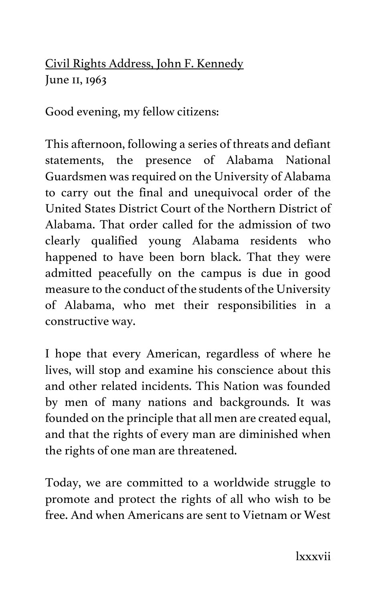Civil Rights Address, John F. Kennedy June II, 1963

Good evening, my fellow citizens:

This afternoon, following a series of threats and defiant statements, the presence of Alabama National Guardsmen was required on the University of Alabama to carry out the final and unequivocal order of the United States District Court of the Northern District of Alabama. That order called for the admission of two clearly qualified young Alabama residents who happened to have been born black. That they were admitted peacefully on the campus is due in good measure to the conduct of the students of the University of Alabama, who met their responsibilities in a constructive way.

I hope that every American, regardless of where he lives, will stop and examine his conscience about this and other related incidents. This Nation was founded by men of many nations and backgrounds. It was founded on the principle that all men are created equal, and that the rights of every man are diminished when the rights of one man are threatened.

Today, we are committed to a worldwide struggle to promote and protect the rights of all who wish to be free. And when Americans are sent to Vietnam or West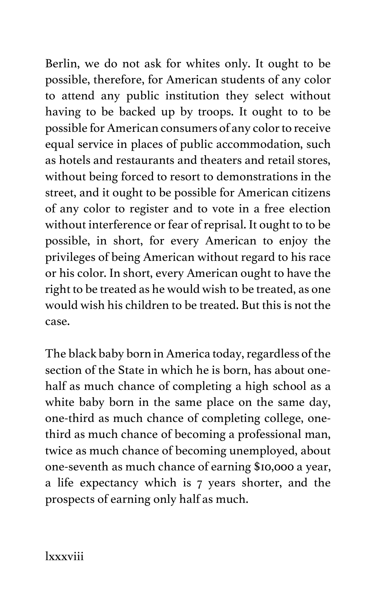Berlin, we do not ask for whites only. It ought to be possible, therefore, for American students of any color to attend any public institution they select without having to be backed up by troops. It ought to to be possible for American consumers of any color to receive equal service in places of public accommodation, such as hotels and restaurants and theaters and retail stores, without being forced to resort to demonstrations in the street, and it ought to be possible for American citizens of any color to register and to vote in a free election without interference or fear of reprisal. It ought to to be possible, in short, for every American to enjoy the privileges of being American without regard to his race or his color. In short, every American ought to have the right to be treated as he would wish to be treated, as one would wish his children to be treated. But this is not the case.

The black baby born in America today, regardless of the section of the State in which he is born, has about onehalf as much chance of completing a high school as a white baby born in the same place on the same day, one-third as much chance of completing college, onethird as much chance of becoming a professional man, twice as much chance of becoming unemployed, about one-seventh as much chance of earning \$10,000 a year, a life expectancy which is 7 years shorter, and the prospects of earning only half as much.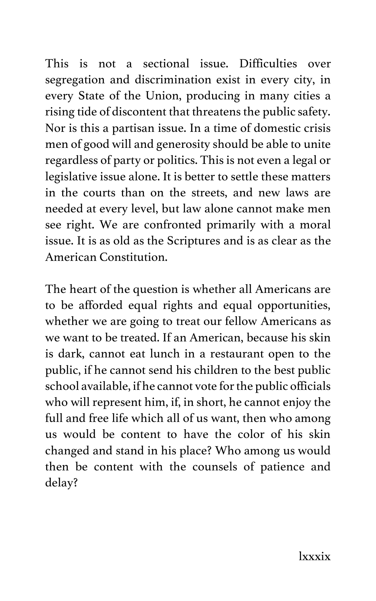This is not a sectional issue. Difficulties over segregation and discrimination exist in every city, in every State of the Union, producing in many cities a rising tide of discontent that threatens the public safety. Nor is this a partisan issue. In a time of domestic crisis men of good will and generosity should be able to unite regardless of party or politics. This is not even a legal or legislative issue alone. It is better to settle these matters in the courts than on the streets, and new laws are needed at every level, but law alone cannot make men see right. We are confronted primarily with a moral issue. It is as old as the Scriptures and is as clear as the American Constitution.

The heart of the question is whether all Americans are to be afforded equal rights and equal opportunities, whether we are going to treat our fellow Americans as we want to be treated. If an American, because his skin is dark, cannot eat lunch in a restaurant open to the public, if he cannot send his children to the best public school available, if he cannot vote for the public officials who will represent him, if, in short, he cannot enjoy the full and free life which all of us want, then who among us would be content to have the color of his skin changed and stand in his place? Who among us would then be content with the counsels of patience and delay?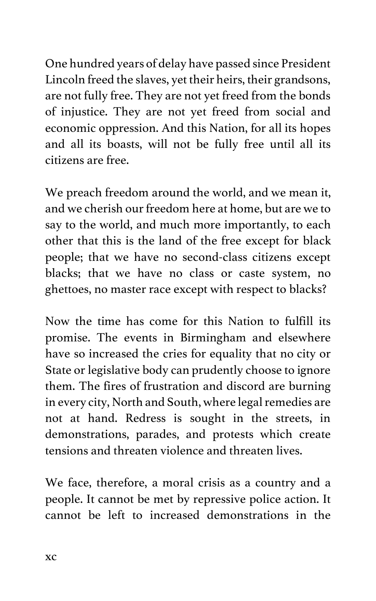One hundred years of delay have passed since President Lincoln freed the slaves, yet their heirs, their grandsons, are not fully free. They are not yet freed from the bonds of injustice. They are not yet freed from social and economic oppression. And this Nation, for all its hopes and all its boasts, will not be fully free until all its citizens are free.

We preach freedom around the world, and we mean it, and we cherish our freedom here at home, but are we to say to the world, and much more importantly, to each other that this is the land of the free except for black people; that we have no second-class citizens except blacks; that we have no class or caste system, no ghettoes, no master race except with respect to blacks?

Now the time has come for this Nation to fulfill its promise. The events in Birmingham and elsewhere have so increased the cries for equality that no city or State or legislative body can prudently choose to ignore them. The fires of frustration and discord are burning in every city, North and South, where legal remedies are not at hand. Redress is sought in the streets, in demonstrations, parades, and protests which create tensions and threaten violence and threaten lives.

We face, therefore, a moral crisis as a country and a people. It cannot be met by repressive police action. It cannot be left to increased demonstrations in the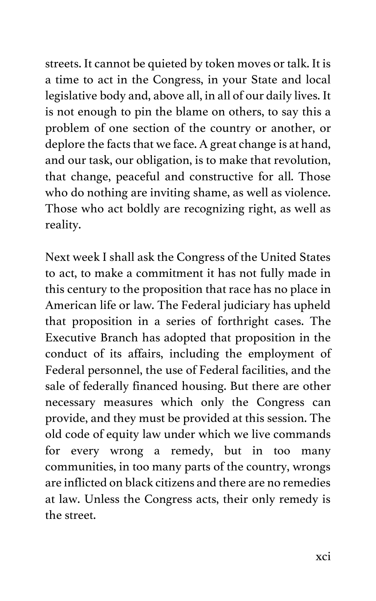streets. It cannot be quieted by token moves or talk. It is a time to act in the Congress, in your State and local legislative body and, above all, in all of our daily lives. It is not enough to pin the blame on others, to say this a problem of one section of the country or another, or deplore the facts that we face. A great change is at hand, and our task, our obligation, is to make that revolution, that change, peaceful and constructive for all. Those who do nothing are inviting shame, as well as violence. Those who act boldly are recognizing right, as well as reality.

Next week I shall ask the Congress of the United States to act, to make a commitment it has not fully made in this century to the proposition that race has no place in American life or law. The Federal judiciary has upheld that proposition in a series of forthright cases. The Executive Branch has adopted that proposition in the conduct of its affairs, including the employment of Federal personnel, the use of Federal facilities, and the sale of federally financed housing. But there are other necessary measures which only the Congress can provide, and they must be provided at this session. The old code of equity law under which we live commands for every wrong a remedy, but in too many communities, in too many parts of the country, wrongs are inflicted on black citizens and there are no remedies at law. Unless the Congress acts, their only remedy is the street.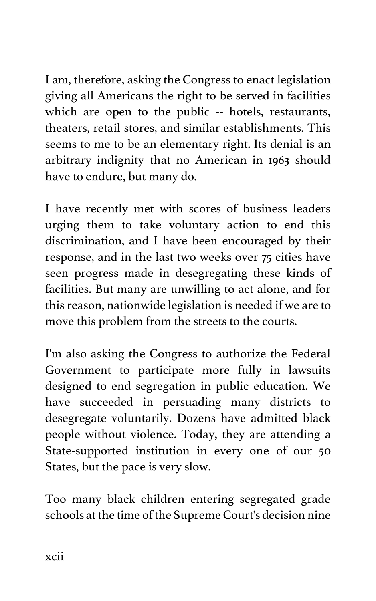I am, therefore, asking the Congress to enact legislation giving all Americans the right to be served in facilities which are open to the public -- hotels, restaurants, theaters, retail stores, and similar establishments. This seems to me to be an elementary right. Its denial is an arbitrary indignity that no American in 1963 should have to endure, but many do.

I have recently met with scores of business leaders urging them to take voluntary action to end this discrimination, and I have been encouraged by their response, and in the last two weeks over 75 cities have seen progress made in desegregating these kinds of facilities. But many are unwilling to act alone, and for this reason, nationwide legislation is needed if we are to move this problem from the streets to the courts.

I'm also asking the Congress to authorize the Federal Government to participate more fully in lawsuits designed to end segregation in public education. We have succeeded in persuading many districts to desegregate voluntarily. Dozens have admitted black people without violence. Today, they are attending a State-supported institution in every one of our 50 States, but the pace is very slow.

Too many black children entering segregated grade schools at the time of the Supreme Court's decision nine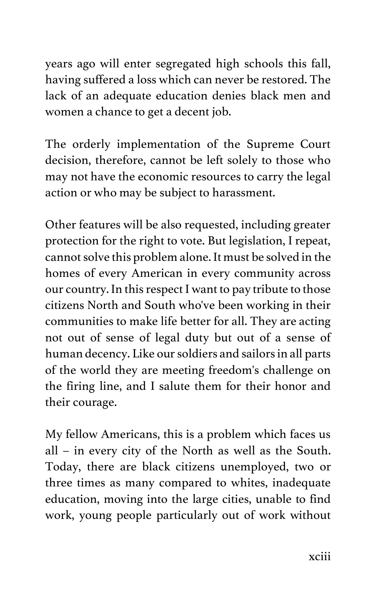years ago will enter segregated high schools this fall, having suffered a loss which can never be restored. The lack of an adequate education denies black men and women a chance to get a decent job.

The orderly implementation of the Supreme Court decision, therefore, cannot be left solely to those who may not have the economic resources to carry the legal action or who may be subject to harassment.

Other features will be also requested, including greater protection for the right to vote. But legislation, I repeat, cannot solve this problem alone. It must be solved in the homes of every American in every community across our country. In this respect I want to pay tribute to those citizens North and South who've been working in their communities to make life better for all. They are acting not out of sense of legal duty but out of a sense of human decency. Like our soldiers and sailors in all parts of the world they are meeting freedom's challenge on the firing line, and I salute them for their honor and their courage.

My fellow Americans, this is a problem which faces us all – in every city of the North as well as the South. Today, there are black citizens unemployed, two or three times as many compared to whites, inadequate education, moving into the large cities, unable to find work, young people particularly out of work without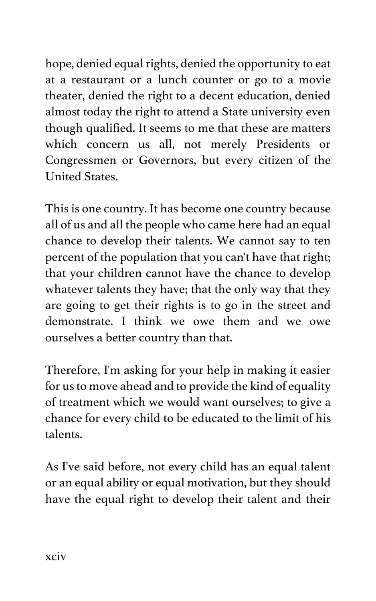hope, denied equal rights, denied the opportunity to eat at a restaurant or a lunch counter or go to a movie theater, denied the right to a decent education, denied almost today the right to attend a State university even though qualified. It seems to me that these are matters which concern us all, not merely Presidents or Congressmen or Governors, but every citizen of the United States.

This is one country. It has become one country because all of us and all the people who came here had an equal chance to develop their talents. We cannot say to ten percent of the population that you can't have that right; that your children cannot have the chance to develop whatever talents they have; that the only way that they are going to get their rights is to go in the street and demonstrate. I think we owe them and we owe ourselves a better country than that.

Therefore, I'm asking for your help in making it easier for us to move ahead and to provide the kind of equality of treatment which we would want ourselves; to give a chance for every child to be educated to the limit of his talents.

As I've said before, not every child has an equal talent or an equal ability or equal motivation, but they should have the equal right to develop their talent and their